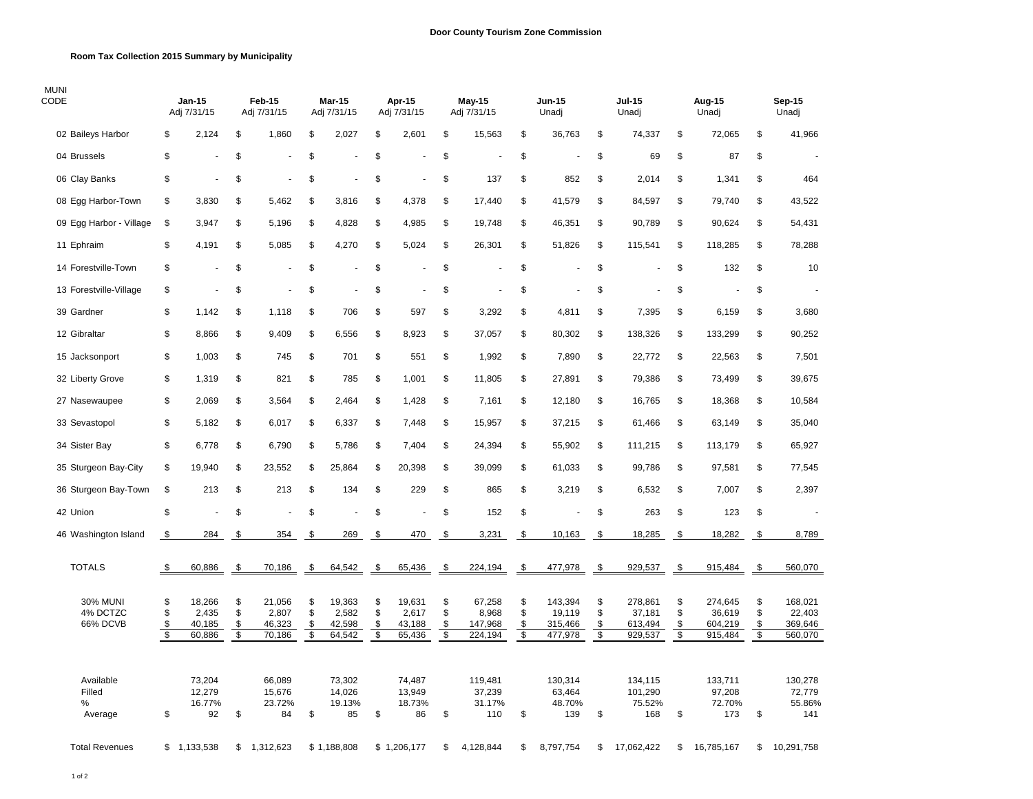## **Room Tax Collection 2015 Summary by Municipality**

| <b>MUNI</b><br>CODE                     |                                                          | Jan-15<br>Adj 7/31/15               |                                | Feb-15<br>Adj 7/31/15               |                      | Mar-15<br>Adj 7/31/15               |                      | Apr-15<br>Adj 7/31/15               |                                            | <b>May-15</b><br>Adj 7/31/15          |                      | Jun-15<br>Unadj                         |                      | <b>Jul-15</b><br>Unadj                  |                                         | Aug-15<br>Unadj                         |                                | Sep-15<br>Unadj                         |
|-----------------------------------------|----------------------------------------------------------|-------------------------------------|--------------------------------|-------------------------------------|----------------------|-------------------------------------|----------------------|-------------------------------------|--------------------------------------------|---------------------------------------|----------------------|-----------------------------------------|----------------------|-----------------------------------------|-----------------------------------------|-----------------------------------------|--------------------------------|-----------------------------------------|
| 02 Baileys Harbor                       | \$                                                       | 2,124                               | \$                             | 1,860                               | \$                   | 2,027                               | \$                   | 2,601                               | \$                                         | 15,563                                | \$                   | 36,763                                  | \$                   | 74,337                                  | \$                                      | 72,065                                  | \$                             | 41,966                                  |
| 04 Brussels                             | \$                                                       |                                     | \$                             |                                     | \$                   |                                     | \$                   |                                     | \$                                         |                                       | \$                   |                                         | \$                   | 69                                      | \$                                      | 87                                      | \$                             |                                         |
| 06 Clay Banks                           | \$                                                       | ÷,                                  | \$                             |                                     | \$                   |                                     | \$                   |                                     | \$                                         | 137                                   | \$                   | 852                                     | \$                   | 2,014                                   | \$                                      | 1,341                                   | \$                             | 464                                     |
| 08 Egg Harbor-Town                      | \$                                                       | 3,830                               | \$                             | 5,462                               | \$                   | 3,816                               | \$                   | 4,378                               | \$                                         | 17,440                                | \$                   | 41,579                                  | \$                   | 84,597                                  | \$                                      | 79,740                                  | \$                             | 43,522                                  |
| 09 Egg Harbor - Village                 | \$                                                       | 3,947                               | \$                             | 5,196                               | \$                   | 4,828                               | \$                   | 4,985                               | \$                                         | 19,748                                | \$                   | 46,351                                  | \$                   | 90,789                                  | \$                                      | 90,624                                  | \$                             | 54,431                                  |
| 11 Ephraim                              | \$                                                       | 4,191                               | \$                             | 5,085                               | \$                   | 4,270                               | \$                   | 5,024                               | \$                                         | 26,301                                | \$                   | 51,826                                  | \$                   | 115,541                                 | \$                                      | 118,285                                 | \$                             | 78,288                                  |
| 14 Forestville-Town                     | \$                                                       |                                     | \$                             |                                     | \$                   |                                     | \$                   |                                     | \$                                         |                                       | \$                   |                                         | \$                   |                                         | \$                                      | 132                                     | \$                             | 10                                      |
| 13 Forestville-Village                  | \$                                                       | $\overline{\phantom{a}}$            | \$                             |                                     | \$                   |                                     | \$                   |                                     | \$                                         |                                       | \$                   |                                         | \$                   |                                         | \$                                      |                                         | \$                             |                                         |
| 39 Gardner                              | \$                                                       | 1,142                               | \$                             | 1,118                               | \$                   | 706                                 | \$                   | 597                                 | \$                                         | 3,292                                 | \$                   | 4,811                                   | \$                   | 7,395                                   | \$                                      | 6,159                                   | \$                             | 3,680                                   |
| 12 Gibraltar                            | \$                                                       | 8,866                               | \$                             | 9,409                               | \$                   | 6,556                               | \$                   | 8,923                               | \$                                         | 37,057                                | \$                   | 80,302                                  | \$                   | 138,326                                 | \$                                      | 133,299                                 | \$                             | 90,252                                  |
| 15 Jacksonport                          | \$                                                       | 1,003                               | \$                             | 745                                 | \$                   | 701                                 | \$                   | 551                                 | \$                                         | 1,992                                 | \$                   | 7,890                                   | \$                   | 22,772                                  | \$                                      | 22,563                                  | \$                             | 7,501                                   |
| 32 Liberty Grove                        | \$                                                       | 1,319                               | \$                             | 821                                 | \$                   | 785                                 | \$                   | 1,001                               | \$                                         | 11,805                                | \$                   | 27,891                                  | \$                   | 79,386                                  | \$                                      | 73,499                                  | \$                             | 39,675                                  |
| 27 Nasewaupee                           | \$                                                       | 2,069                               | \$                             | 3,564                               | \$                   | 2,464                               | \$                   | 1,428                               | \$                                         | 7,161                                 | \$                   | 12,180                                  | \$                   | 16,765                                  | \$                                      | 18,368                                  | \$                             | 10,584                                  |
| 33 Sevastopol                           | \$                                                       | 5,182                               | \$                             | 6,017                               | \$                   | 6,337                               | \$                   | 7,448                               | \$                                         | 15,957                                | \$                   | 37,215                                  | \$                   | 61,466                                  | \$                                      | 63,149                                  | \$                             | 35,040                                  |
| 34 Sister Bay                           | \$                                                       | 6,778                               | \$                             | 6,790                               | \$                   | 5,786                               | \$                   | 7,404                               | \$                                         | 24,394                                | \$                   | 55,902                                  | \$                   | 111,215                                 | \$                                      | 113,179                                 | \$                             | 65,927                                  |
| 35 Sturgeon Bay-City                    | \$                                                       | 19,940                              | \$                             | 23,552                              | \$                   | 25,864                              | \$                   | 20,398                              | \$                                         | 39,099                                | \$                   | 61,033                                  | \$                   | 99,786                                  | \$                                      | 97,581                                  | \$                             | 77,545                                  |
| 36 Sturgeon Bay-Town                    | \$                                                       | 213                                 | \$                             | 213                                 | \$                   | 134                                 | \$                   | 229                                 | \$                                         | 865                                   | \$                   | 3,219                                   | \$                   | 6,532                                   | \$                                      | 7,007                                   | \$                             | 2,397                                   |
| 42 Union                                | \$                                                       |                                     | \$                             |                                     | \$                   |                                     | \$                   |                                     | \$                                         | 152                                   | \$                   |                                         | \$                   | 263                                     | \$                                      | 123                                     | \$                             |                                         |
| 46 Washington Island                    | \$                                                       | 284                                 | \$                             | 354                                 | \$                   | 269                                 | \$                   | 470                                 | \$                                         | 3,231                                 | \$                   | 10,163                                  | -\$                  | 18,285                                  | \$                                      | 18,282                                  | \$                             | 8,789                                   |
| <b>TOTALS</b>                           | \$                                                       | 60,886                              | \$                             | 70,186                              | \$                   | 64,542                              | \$                   | 65,436                              | \$                                         | 224,194                               | \$                   | 477,978                                 | \$                   | 929,537                                 | \$                                      | 915,484                                 | \$                             | 560,070                                 |
| <b>30% MUNI</b><br>4% DCTZC<br>66% DCVB | \$<br>\$<br>$\boldsymbol{\$}$<br>$\overline{\mathbf{s}}$ | 18,266<br>2,435<br>40,185<br>60,886 | \$<br>\$<br>\$<br>$\mathsf{s}$ | 21,056<br>2,807<br>46,323<br>70,186 | \$<br>\$<br>\$<br>\$ | 19,363<br>2,582<br>42,598<br>64,542 | \$<br>\$<br>\$<br>\$ | 19,631<br>2,617<br>43,188<br>65,436 | \$<br>\$<br>\$<br>$\overline{\mathcal{S}}$ | 67,258<br>8,968<br>147,968<br>224.194 | \$<br>\$<br>\$<br>\$ | 143,394<br>19,119<br>315,466<br>477,978 | \$<br>\$<br>\$<br>\$ | 278,861<br>37,181<br>613,494<br>929,537 | \$<br>\$<br>\$<br>$\boldsymbol{\theta}$ | 274,645<br>36,619<br>604,219<br>915,484 | \$<br>\$<br>\$<br>$\mathsf{s}$ | 168,021<br>22,403<br>369,646<br>560,070 |
| Available<br>Filled<br>%<br>Average     | \$                                                       | 73,204<br>12,279<br>16.77%<br>92    | \$                             | 66,089<br>15,676<br>23.72%<br>84    | \$                   | 73,302<br>14,026<br>19.13%<br>85    | \$                   | 74,487<br>13,949<br>18.73%<br>86    | \$                                         | 119,481<br>37,239<br>31.17%<br>110    | \$                   | 130,314<br>63,464<br>48.70%<br>139      | \$                   | 134,115<br>101,290<br>75.52%<br>168     | \$                                      | 133,711<br>97,208<br>72.70%<br>173      | \$                             | 130,278<br>72,779<br>55.86%<br>141      |
| <b>Total Revenues</b>                   |                                                          | \$1,133,538                         | \$                             | 1,312,623                           |                      | \$1,188,808                         |                      | \$1,206,177                         | \$                                         | 4,128,844                             | \$                   | 8,797,754                               | \$                   | 17,062,422                              | \$                                      | 16,785,167                              | \$                             | 10,291,758                              |